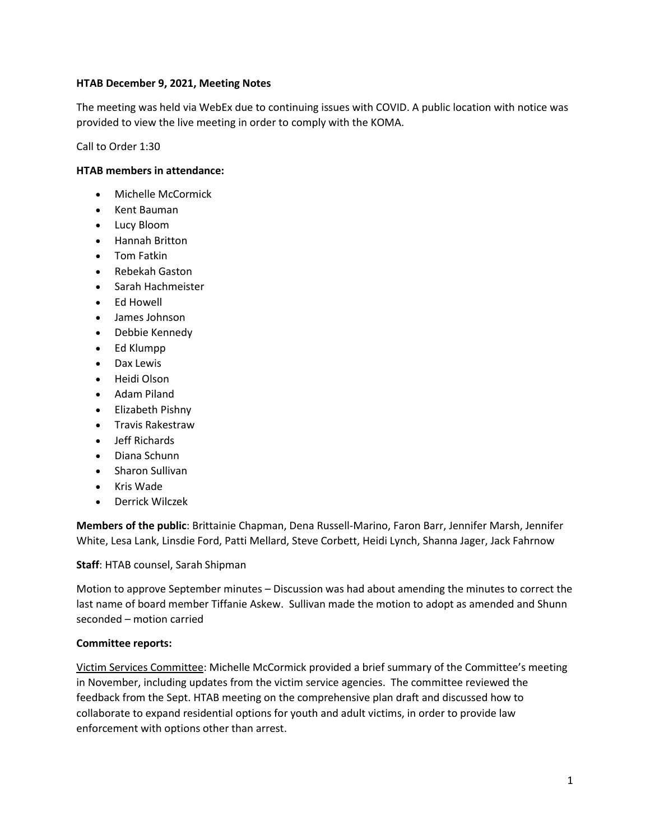### **HTAB December 9, 2021, Meeting Notes**

The meeting was held via WebEx due to continuing issues with COVID. A public location with notice was provided to view the live meeting in order to comply with the KOMA.

Call to Order 1:30

### **HTAB members in attendance:**

- Michelle McCormick
- Kent Bauman
- Lucy Bloom
- Hannah Britton
- **•** Tom Fatkin
- Rebekah Gaston
- Sarah Hachmeister
- Ed Howell
- James Johnson
- Debbie Kennedy
- Ed Klumpp
- Dax Lewis
- Heidi Olson
- Adam Piland
- Elizabeth Pishny
- **•** Travis Rakestraw
- leff Richards
- Diana Schunn
- Sharon Sullivan
- Kris Wade
- Derrick Wilczek

**Members of the public**: Brittainie Chapman, Dena Russell-Marino, Faron Barr, Jennifer Marsh, Jennifer White, Lesa Lank, Linsdie Ford, Patti Mellard, Steve Corbett, Heidi Lynch, Shanna Jager, Jack Fahrnow

**Staff**: HTAB counsel, Sarah Shipman

Motion to approve September minutes – Discussion was had about amending the minutes to correct the last name of board member Tiffanie Askew. Sullivan made the motion to adopt as amended and Shunn seconded – motion carried

#### **Committee reports:**

Victim Services Committee: Michelle McCormick provided a brief summary of the Committee's meeting in November, including updates from the victim service agencies. The committee reviewed the feedback from the Sept. HTAB meeting on the comprehensive plan draft and discussed how to collaborate to expand residential options for youth and adult victims, in order to provide law enforcement with options other than arrest.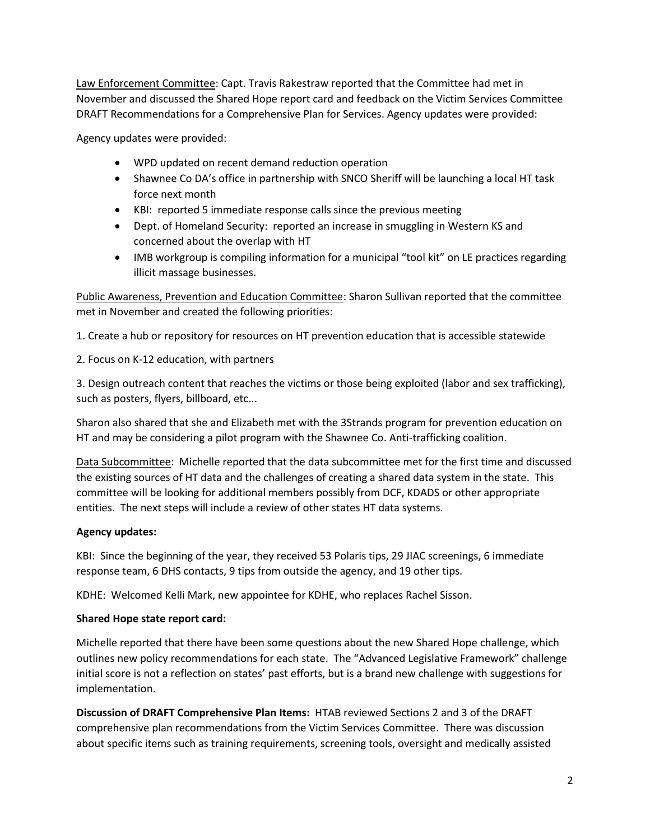Law Enforcement Committee: Capt. Travis Rakestraw reported that the Committee had met in November and discussed the Shared Hope report card and feedback on the Victim Services Committee DRAFT Recommendations for a Comprehensive Plan for Services. Agency updates were provided:

Agency updates were provided:

- WPD updated on recent demand reduction operation
- Shawnee Co DA's office in partnership with SNCO Sheriff will be launching a local HT task force next month
- KBI: reported 5 immediate response calls since the previous meeting
- Dept. of Homeland Security: reported an increase in smuggling in Western KS and concerned about the overlap with HT
- IMB workgroup is compiling information for a municipal "tool kit" on LE practices regarding illicit massage businesses.

Public Awareness, Prevention and Education Committee: Sharon Sullivan reported that the committee met in November and created the following priorities:

1. Create a hub or repository for resources on HT prevention education that is accessible statewide

2. Focus on K-12 education, with partners

3. Design outreach content that reaches the victims or those being exploited (labor and sex trafficking), such as posters, flyers, billboard, etc...

Sharon also shared that she and Elizabeth met with the 3Strands program for prevention education on HT and may be considering a pilot program with the Shawnee Co. Anti-trafficking coalition.

Data Subcommittee: Michelle reported that the data subcommittee met for the first time and discussed the existing sources of HT data and the challenges of creating a shared data system in the state. This committee will be looking for additional members possibly from DCF, KDADS or other appropriate entities. The next steps will include a review of other states HT data systems.

# **Agency updates:**

KBI: Since the beginning of the year, they received 53 Polaris tips, 29 JIAC screenings, 6 immediate response team, 6 DHS contacts, 9 tips from outside the agency, and 19 other tips.

KDHE: Welcomed Kelli Mark, new appointee for KDHE, who replaces Rachel Sisson.

# **Shared Hope state report card:**

Michelle reported that there have been some questions about the new Shared Hope challenge, which outlines new policy recommendations for each state. The "Advanced Legislative Framework" challenge initial score is not a reflection on states' past efforts, but is a brand new challenge with suggestions for implementation.

**Discussion of DRAFT Comprehensive Plan Items:** HTAB reviewed Sections 2 and 3 of the DRAFT comprehensive plan recommendations from the Victim Services Committee. There was discussion about specific items such as training requirements, screening tools, oversight and medically assisted